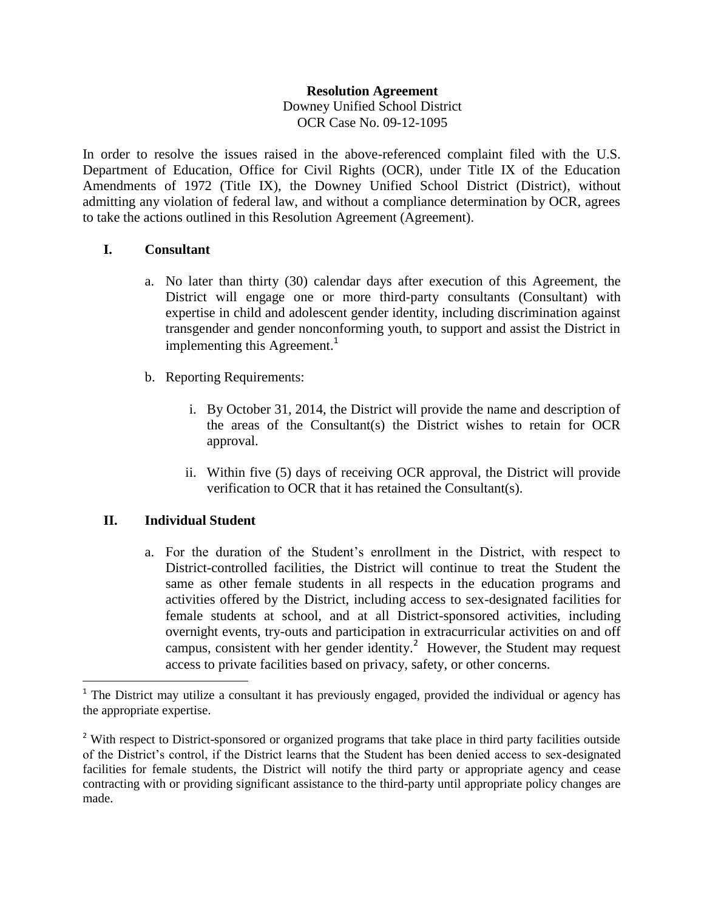#### **Resolution Agreement**

Downey Unified School District OCR Case No. 09-12-1095

In order to resolve the issues raised in the above-referenced complaint filed with the U.S. Department of Education, Office for Civil Rights (OCR), under Title IX of the Education Amendments of 1972 (Title IX), the Downey Unified School District (District), without admitting any violation of federal law, and without a compliance determination by OCR, agrees to take the actions outlined in this Resolution Agreement (Agreement).

#### **I. Consultant**

- a. No later than thirty (30) calendar days after execution of this Agreement, the District will engage one or more third-party consultants (Consultant) with expertise in child and adolescent gender identity, including discrimination against transgender and gender nonconforming youth, to support and assist the District in implementing this Agreement.<sup>1</sup>
- b. Reporting Requirements:
	- i. By October 31, 2014, the District will provide the name and description of the areas of the Consultant(s) the District wishes to retain for OCR approval.
	- ii. Within five (5) days of receiving OCR approval, the District will provide verification to OCR that it has retained the Consultant(s).

# **II. Individual Student**

 $\overline{a}$ 

a. For the duration of the Student's enrollment in the District, with respect to District-controlled facilities, the District will continue to treat the Student the same as other female students in all respects in the education programs and activities offered by the District, including access to sex-designated facilities for female students at school, and at all District-sponsored activities, including overnight events, try-outs and participation in extracurricular activities on and off campus, consistent with her gender identity.<sup>2</sup> However, the Student may request access to private facilities based on privacy, safety, or other concerns.

<sup>&</sup>lt;sup>1</sup> The District may utilize a consultant it has previously engaged, provided the individual or agency has the appropriate expertise.

<sup>&</sup>lt;sup>2</sup> With respect to District-sponsored or organized programs that take place in third party facilities outside of the District's control, if the District learns that the Student has been denied access to sex-designated facilities for female students, the District will notify the third party or appropriate agency and cease contracting with or providing significant assistance to the third-party until appropriate policy changes are made.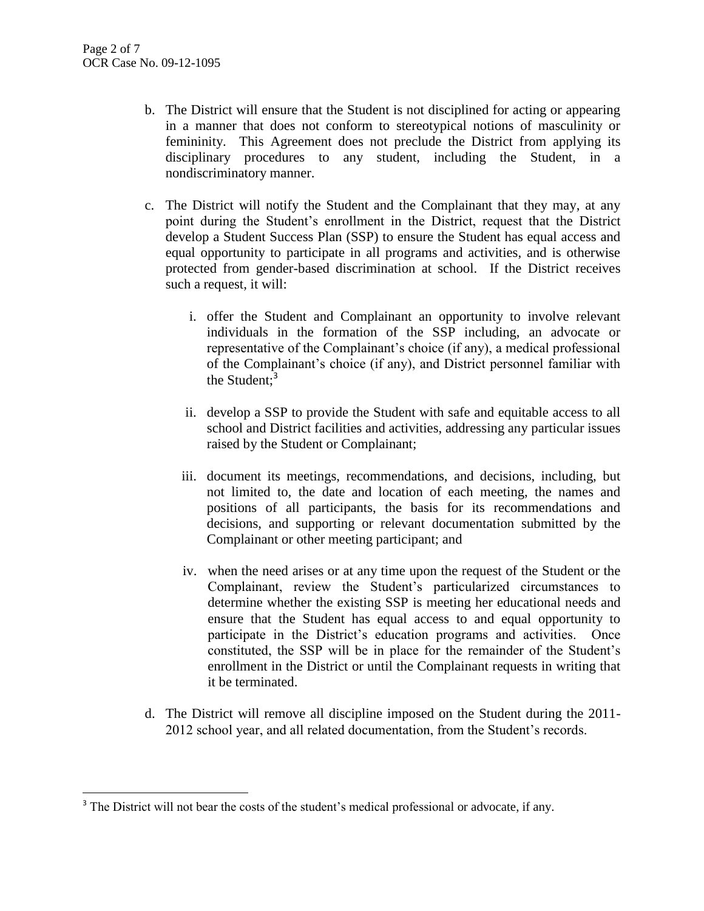$\overline{\phantom{a}}$ 

- b. The District will ensure that the Student is not disciplined for acting or appearing in a manner that does not conform to stereotypical notions of masculinity or femininity. This Agreement does not preclude the District from applying its disciplinary procedures to any student, including the Student, in a nondiscriminatory manner.
- c. The District will notify the Student and the Complainant that they may, at any point during the Student's enrollment in the District, request that the District develop a Student Success Plan (SSP) to ensure the Student has equal access and equal opportunity to participate in all programs and activities, and is otherwise protected from gender-based discrimination at school. If the District receives such a request, it will:
	- i. offer the Student and Complainant an opportunity to involve relevant individuals in the formation of the SSP including, an advocate or representative of the Complainant's choice (if any), a medical professional of the Complainant's choice (if any), and District personnel familiar with the Student:<sup>3</sup>
	- ii. develop a SSP to provide the Student with safe and equitable access to all school and District facilities and activities, addressing any particular issues raised by the Student or Complainant;
	- iii. document its meetings, recommendations, and decisions, including, but not limited to, the date and location of each meeting, the names and positions of all participants, the basis for its recommendations and decisions, and supporting or relevant documentation submitted by the Complainant or other meeting participant; and
	- iv. when the need arises or at any time upon the request of the Student or the Complainant, review the Student's particularized circumstances to determine whether the existing SSP is meeting her educational needs and ensure that the Student has equal access to and equal opportunity to participate in the District's education programs and activities. Once constituted, the SSP will be in place for the remainder of the Student's enrollment in the District or until the Complainant requests in writing that it be terminated.
- d. The District will remove all discipline imposed on the Student during the 2011- 2012 school year, and all related documentation, from the Student's records.

<sup>&</sup>lt;sup>3</sup> The District will not bear the costs of the student's medical professional or advocate, if any.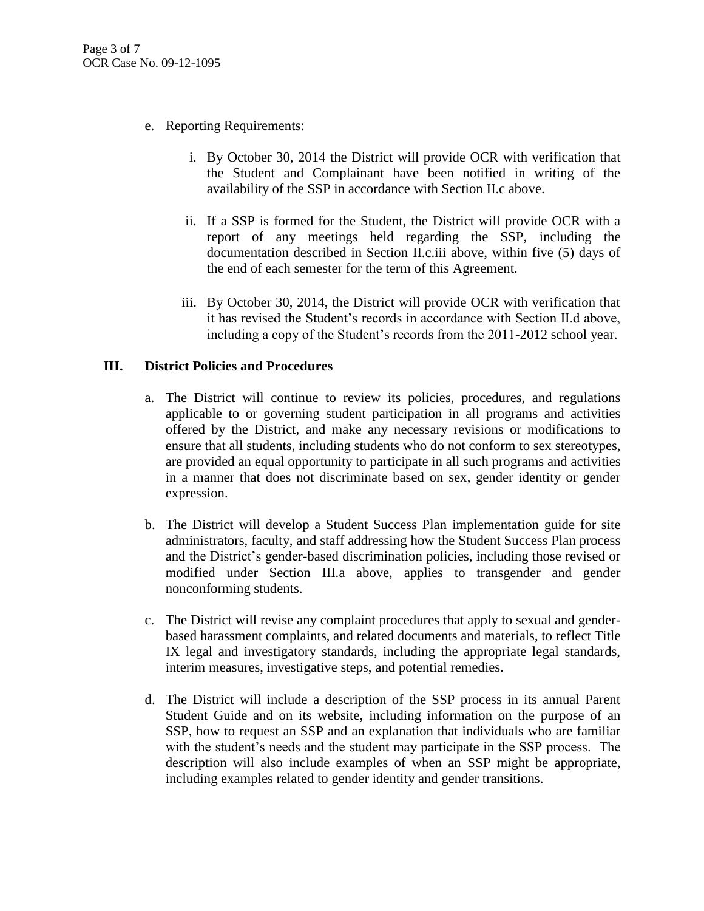- e. Reporting Requirements:
	- i. By October 30, 2014 the District will provide OCR with verification that the Student and Complainant have been notified in writing of the availability of the SSP in accordance with Section II.c above.
	- ii. If a SSP is formed for the Student, the District will provide OCR with a report of any meetings held regarding the SSP, including the documentation described in Section II.c.iii above, within five (5) days of the end of each semester for the term of this Agreement.
	- iii. By October 30, 2014, the District will provide OCR with verification that it has revised the Student's records in accordance with Section II.d above, including a copy of the Student's records from the 2011-2012 school year.

### **III. District Policies and Procedures**

- a. The District will continue to review its policies, procedures, and regulations applicable to or governing student participation in all programs and activities offered by the District, and make any necessary revisions or modifications to ensure that all students, including students who do not conform to sex stereotypes, are provided an equal opportunity to participate in all such programs and activities in a manner that does not discriminate based on sex, gender identity or gender expression.
- b. The District will develop a Student Success Plan implementation guide for site administrators, faculty, and staff addressing how the Student Success Plan process and the District's gender-based discrimination policies, including those revised or modified under Section III.a above, applies to transgender and gender nonconforming students.
- c. The District will revise any complaint procedures that apply to sexual and genderbased harassment complaints, and related documents and materials, to reflect Title IX legal and investigatory standards, including the appropriate legal standards, interim measures, investigative steps, and potential remedies.
- d. The District will include a description of the SSP process in its annual Parent Student Guide and on its website, including information on the purpose of an SSP, how to request an SSP and an explanation that individuals who are familiar with the student's needs and the student may participate in the SSP process. The description will also include examples of when an SSP might be appropriate, including examples related to gender identity and gender transitions.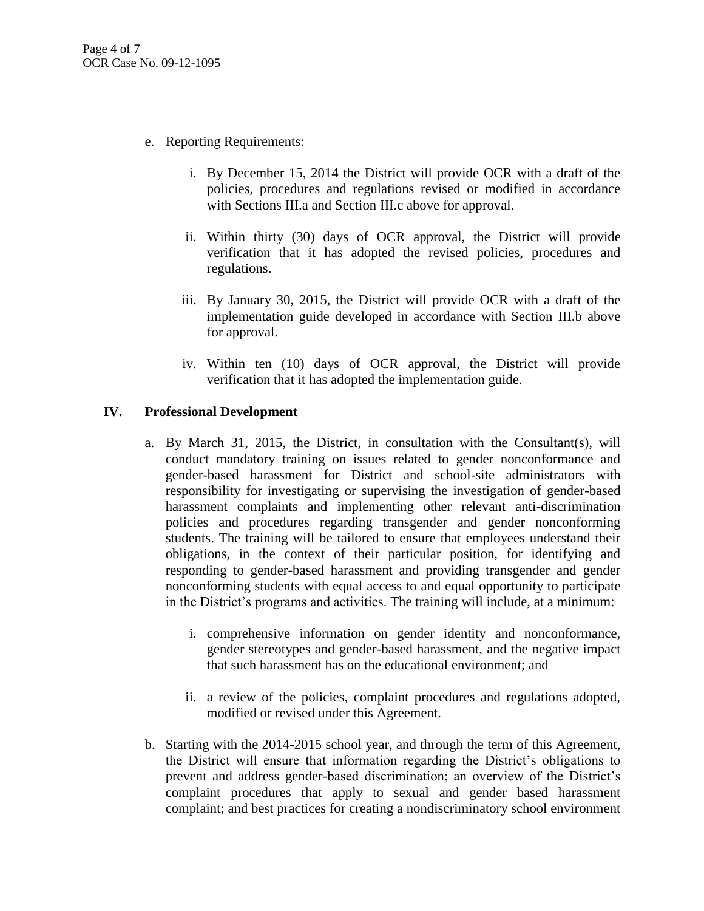- e. Reporting Requirements:
	- i. By December 15, 2014 the District will provide OCR with a draft of the policies, procedures and regulations revised or modified in accordance with Sections III.a and Section III.c above for approval.
	- ii. Within thirty (30) days of OCR approval, the District will provide verification that it has adopted the revised policies, procedures and regulations.
	- iii. By January 30, 2015, the District will provide OCR with a draft of the implementation guide developed in accordance with Section III.b above for approval.
	- iv. Within ten (10) days of OCR approval, the District will provide verification that it has adopted the implementation guide.

# **IV. Professional Development**

- a. By March 31, 2015, the District, in consultation with the Consultant(s), will conduct mandatory training on issues related to gender nonconformance and gender-based harassment for District and school-site administrators with responsibility for investigating or supervising the investigation of gender-based harassment complaints and implementing other relevant anti-discrimination policies and procedures regarding transgender and gender nonconforming students. The training will be tailored to ensure that employees understand their obligations, in the context of their particular position, for identifying and responding to gender-based harassment and providing transgender and gender nonconforming students with equal access to and equal opportunity to participate in the District's programs and activities. The training will include, at a minimum:
	- i. comprehensive information on gender identity and nonconformance, gender stereotypes and gender-based harassment, and the negative impact that such harassment has on the educational environment; and
	- ii. a review of the policies, complaint procedures and regulations adopted, modified or revised under this Agreement.
- b. Starting with the 2014-2015 school year, and through the term of this Agreement, the District will ensure that information regarding the District's obligations to prevent and address gender-based discrimination; an overview of the District's complaint procedures that apply to sexual and gender based harassment complaint; and best practices for creating a nondiscriminatory school environment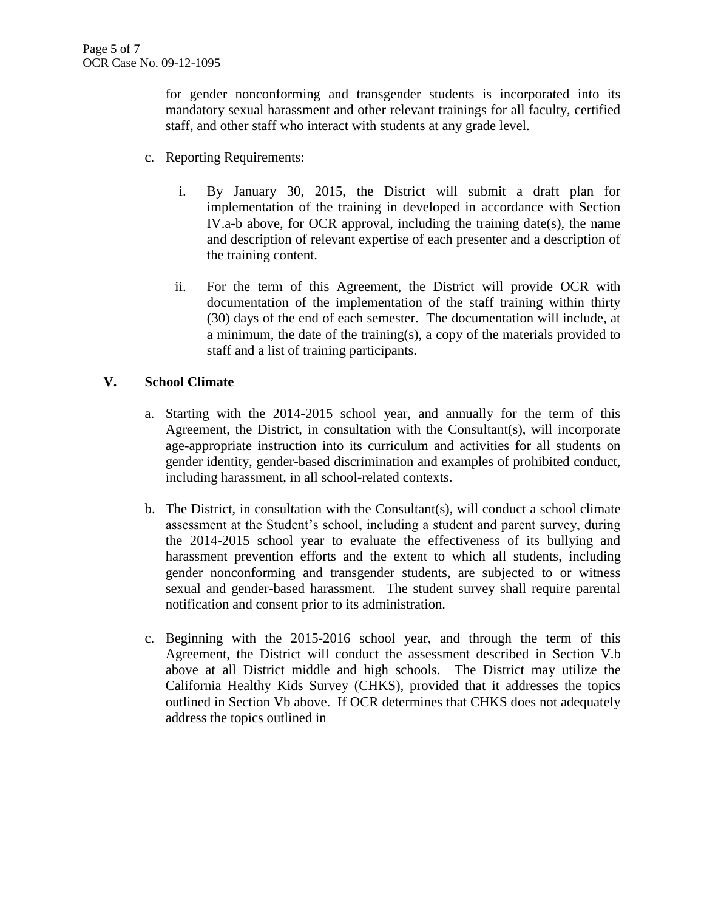for gender nonconforming and transgender students is incorporated into its mandatory sexual harassment and other relevant trainings for all faculty, certified staff, and other staff who interact with students at any grade level.

- c. Reporting Requirements:
	- i. By January 30, 2015, the District will submit a draft plan for implementation of the training in developed in accordance with Section IV.a-b above, for OCR approval, including the training date(s), the name and description of relevant expertise of each presenter and a description of the training content.
	- ii. For the term of this Agreement, the District will provide OCR with documentation of the implementation of the staff training within thirty (30) days of the end of each semester. The documentation will include, at a minimum, the date of the training(s), a copy of the materials provided to staff and a list of training participants.

### **V. School Climate**

- a. Starting with the 2014-2015 school year, and annually for the term of this Agreement, the District, in consultation with the Consultant(s), will incorporate age-appropriate instruction into its curriculum and activities for all students on gender identity, gender-based discrimination and examples of prohibited conduct, including harassment, in all school-related contexts.
- b. The District, in consultation with the Consultant(s), will conduct a school climate assessment at the Student's school, including a student and parent survey, during the 2014-2015 school year to evaluate the effectiveness of its bullying and harassment prevention efforts and the extent to which all students, including gender nonconforming and transgender students, are subjected to or witness sexual and gender-based harassment. The student survey shall require parental notification and consent prior to its administration.
- c. Beginning with the 2015-2016 school year, and through the term of this Agreement, the District will conduct the assessment described in Section V.b above at all District middle and high schools. The District may utilize the California Healthy Kids Survey (CHKS), provided that it addresses the topics outlined in Section Vb above. If OCR determines that CHKS does not adequately address the topics outlined in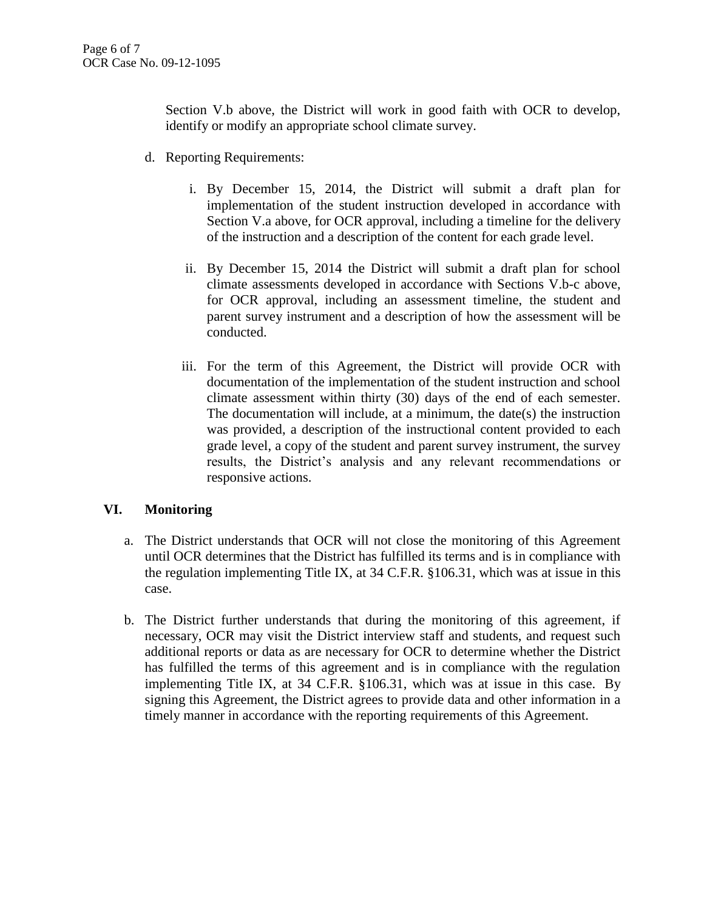Section V.b above, the District will work in good faith with OCR to develop, identify or modify an appropriate school climate survey.

- d. Reporting Requirements:
	- i. By December 15, 2014, the District will submit a draft plan for implementation of the student instruction developed in accordance with Section V.a above, for OCR approval, including a timeline for the delivery of the instruction and a description of the content for each grade level.
	- ii. By December 15, 2014 the District will submit a draft plan for school climate assessments developed in accordance with Sections V.b-c above, for OCR approval, including an assessment timeline, the student and parent survey instrument and a description of how the assessment will be conducted.
	- iii. For the term of this Agreement, the District will provide OCR with documentation of the implementation of the student instruction and school climate assessment within thirty (30) days of the end of each semester. The documentation will include, at a minimum, the date(s) the instruction was provided, a description of the instructional content provided to each grade level, a copy of the student and parent survey instrument, the survey results, the District's analysis and any relevant recommendations or responsive actions.

# **VI. Monitoring**

- a. The District understands that OCR will not close the monitoring of this Agreement until OCR determines that the District has fulfilled its terms and is in compliance with the regulation implementing Title IX, at 34 C.F.R. §106.31, which was at issue in this case.
- b. The District further understands that during the monitoring of this agreement, if necessary, OCR may visit the District interview staff and students, and request such additional reports or data as are necessary for OCR to determine whether the District has fulfilled the terms of this agreement and is in compliance with the regulation implementing Title IX, at 34 C.F.R. §106.31, which was at issue in this case. By signing this Agreement, the District agrees to provide data and other information in a timely manner in accordance with the reporting requirements of this Agreement.